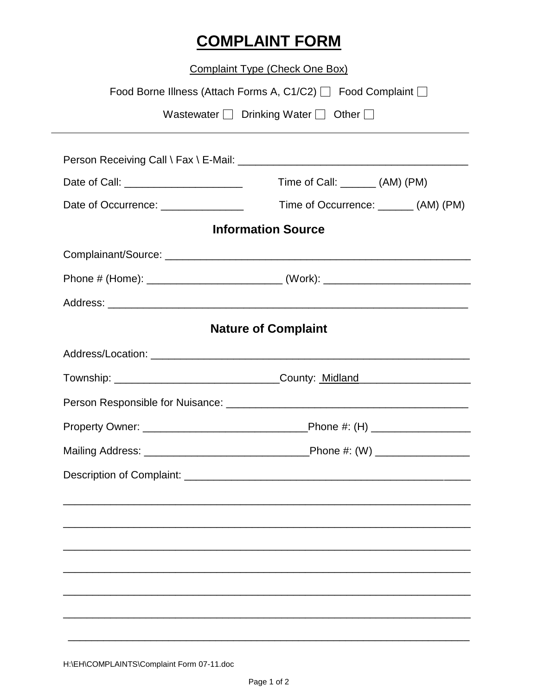## **COMPLAINT FORM**

**Complaint Type (Check One Box)** 

|                                      | Food Borne Illness (Attach Forms A, C1/C2) □ Food Complaint □                                                                                                                                                                  |  |
|--------------------------------------|--------------------------------------------------------------------------------------------------------------------------------------------------------------------------------------------------------------------------------|--|
|                                      | Wastewater $\Box$ Drinking Water $\Box$ Other $\Box$                                                                                                                                                                           |  |
|                                      | Person Receiving Call \ Fax \ E-Mail: \\connection \\connection \\connection \\connection \\connection \\connection \\connection \\connection \\connection \\connection \\connection \\connection \\connection \\connection \\ |  |
|                                      | Time of Call: ________ (AM) (PM)                                                                                                                                                                                               |  |
| Date of Occurrence: ________________ | Time of Occurrence: _______ (AM) (PM)                                                                                                                                                                                          |  |
| <b>Information Source</b>            |                                                                                                                                                                                                                                |  |
|                                      |                                                                                                                                                                                                                                |  |
|                                      |                                                                                                                                                                                                                                |  |
|                                      |                                                                                                                                                                                                                                |  |
| <b>Nature of Complaint</b>           |                                                                                                                                                                                                                                |  |
|                                      |                                                                                                                                                                                                                                |  |
|                                      |                                                                                                                                                                                                                                |  |
|                                      |                                                                                                                                                                                                                                |  |
|                                      |                                                                                                                                                                                                                                |  |
|                                      |                                                                                                                                                                                                                                |  |
| Description of Complaint: __         |                                                                                                                                                                                                                                |  |
|                                      |                                                                                                                                                                                                                                |  |
|                                      |                                                                                                                                                                                                                                |  |
|                                      |                                                                                                                                                                                                                                |  |
|                                      |                                                                                                                                                                                                                                |  |
|                                      |                                                                                                                                                                                                                                |  |
|                                      |                                                                                                                                                                                                                                |  |
|                                      |                                                                                                                                                                                                                                |  |